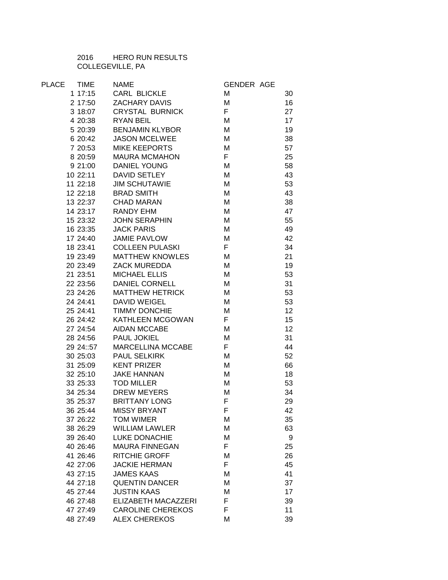HERO RUN RESULTS COLLEGEVILLE, PA

| PLACE | <b>TIME</b> | <b>NAME</b>                 | <b>GENDER AGE</b> |    |
|-------|-------------|-----------------------------|-------------------|----|
|       | 117:15      | <b>CARL BLICKLE</b>         | M                 | 30 |
|       | 2 17:50     | ZACHARY DAVIS               | M                 | 16 |
|       | 3 18:07     | CRYSTAL BURNICK             | F                 | 27 |
|       | 4 20:38     | <b>RYAN BEIL</b>            | M                 | 17 |
|       | 5 20:39     | <b>BENJAMIN KLYBOR</b>      | M                 | 19 |
|       | 6 20:42     | <b>JASON MCELWEE</b>        | M                 | 38 |
|       | 7 20:53     | MIKE KEEPORTS               | M                 | 57 |
|       | 8 20:59     | <b>MAURA MCMAHON</b>        | F.                | 25 |
|       | 9 21:00     | <b>DANIEL YOUNG</b>         | M                 | 58 |
|       | 10 22:11    | DAVID SETLEY                | M                 | 43 |
|       | 11 22:18    | <b>JIM SCHUTAWIE</b>        | M                 | 53 |
|       |             | 12 22:18 BRAD SMITH         | M                 | 43 |
|       |             | 13 22:37 CHAD MARAN         | M                 | 38 |
|       |             | 14 23:17 RANDY EHM          | M                 | 47 |
|       | 15 23:32    | <b>JOHN SERAPHIN</b>        | M                 | 55 |
|       | 16 23:35    | <b>JACK PARIS</b>           | M                 | 49 |
|       | 17 24:40    | <b>JAMIE PAVLOW</b>         | M                 | 42 |
|       | 18 23:41    | COLLEEN PULASKI             | F                 | 34 |
|       | 19 23:49    | <b>MATTHEW KNOWLES</b>      | M                 | 21 |
|       | 20 23:49    | ZACK MUREDDA                | M                 | 19 |
|       | 21 23:51    | <b>MICHAEL ELLIS</b>        | M                 | 53 |
|       | 22 23:56    | <b>DANIEL CORNELL</b>       | M                 | 31 |
|       | 23 24:26    | <b>MATTHEW HETRICK</b>      | M                 | 53 |
|       | 24 24:41    | DAVID WEIGEL                | M                 | 53 |
|       | 25 24:41    | TIMMY DONCHIE               | M                 | 12 |
|       | 26 24:42    | KATHLEEN MCGOWAN            | $\mathsf F$       | 15 |
|       | 27 24:54    | AIDAN MCCABE                | М                 | 12 |
|       |             | 28 24:56 PAUL JOKIEL        | M                 | 31 |
|       |             | 29 24::57 MARCELLINA MCCABE | F                 | 44 |
|       | 30 25:03    | PAUL SELKIRK                | M                 | 52 |
|       | 31 25:09    | KENT PRIZER                 | M                 | 66 |
|       | 32 25:10    | JAKE HANNAN<br>TOD MILLER   | M                 | 18 |
|       | 33 25:33    | <b>TOD MILLER</b>           | M                 | 53 |
|       | 34 25:34    | <b>DREW MEYERS</b>          | M                 | 34 |
|       |             | 35 25:37 BRITTANY LONG      | F                 | 29 |
|       | 36 25:44    | MISSY BRYANT                | F.                | 42 |
|       | 37 26:22    | <b>TOM WIMER</b>            | М                 | 35 |
|       | 38 26:29    | <b>WILLIAM LAWLER</b>       | M                 | 63 |
|       | 39 26:40    | <b>LUKE DONACHIE</b>        | M                 | 9  |
|       | 40 26:46    | <b>MAURA FINNEGAN</b>       | F                 | 25 |
|       | 41 26:46    | <b>RITCHIE GROFF</b>        | M                 | 26 |
|       | 42 27:06    | <b>JACKIE HERMAN</b>        | F.                | 45 |
|       | 43 27:15    | <b>JAMES KAAS</b>           | M                 | 41 |
|       | 44 27:18    | <b>QUENTIN DANCER</b>       | M                 | 37 |
|       | 45 27:44    | <b>JUSTIN KAAS</b>          | M                 | 17 |
|       | 46 27:48    | ELIZABETH MACAZZERI         | F                 | 39 |
|       | 47 27:49    | <b>CAROLINE CHEREKOS</b>    | F                 | 11 |
|       | 48 27:49    | <b>ALEX CHEREKOS</b>        | M                 | 39 |